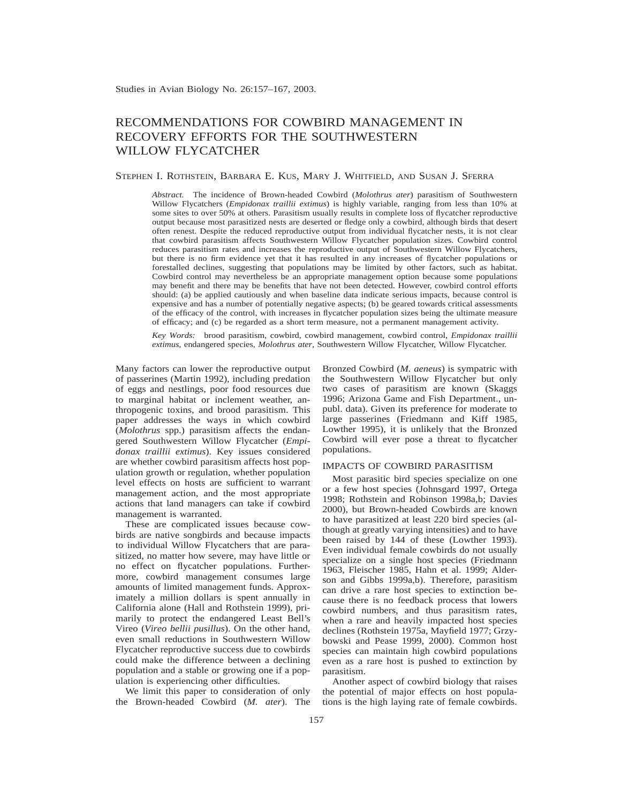# RECOMMENDATIONS FOR COWBIRD MANAGEMENT IN RECOVERY EFFORTS FOR THE SOUTHWESTERN WILLOW FLYCATCHER

#### STEPHEN I. ROTHSTEIN, BARBARA E. KUS, MARY J. WHITFIELD, AND SUSAN J. SFERRA

*Abstract.* The incidence of Brown-headed Cowbird (*Molothrus ater*) parasitism of Southwestern Willow Flycatchers (*Empidonax traillii extimus*) is highly variable, ranging from less than 10% at some sites to over 50% at others. Parasitism usually results in complete loss of flycatcher reproductive output because most parasitized nests are deserted or fledge only a cowbird, although birds that desert often renest. Despite the reduced reproductive output from individual flycatcher nests, it is not clear that cowbird parasitism affects Southwestern Willow Flycatcher population sizes. Cowbird control reduces parasitism rates and increases the reproductive output of Southwestern Willow Flycatchers, but there is no firm evidence yet that it has resulted in any increases of flycatcher populations or forestalled declines, suggesting that populations may be limited by other factors, such as habitat. Cowbird control may nevertheless be an appropriate management option because some populations may benefit and there may be benefits that have not been detected. However, cowbird control efforts should: (a) be applied cautiously and when baseline data indicate serious impacts, because control is expensive and has a number of potentially negative aspects; (b) be geared towards critical assessments of the efficacy of the control, with increases in flycatcher population sizes being the ultimate measure of efficacy; and (c) be regarded as a short term measure, not a permanent management activity.

*Key Words:* brood parasitism, cowbird, cowbird management, cowbird control, *Empidonax traillii extimus,* endangered species, *Molothrus ater,* Southwestern Willow Flycatcher, Willow Flycatcher.

Many factors can lower the reproductive output of passerines (Martin 1992), including predation of eggs and nestlings, poor food resources due to marginal habitat or inclement weather, anthropogenic toxins, and brood parasitism. This paper addresses the ways in which cowbird (*Molothrus* spp.) parasitism affects the endangered Southwestern Willow Flycatcher (*Empidonax traillii extimus*). Key issues considered are whether cowbird parasitism affects host population growth or regulation, whether population level effects on hosts are sufficient to warrant management action, and the most appropriate actions that land managers can take if cowbird management is warranted.

These are complicated issues because cowbirds are native songbirds and because impacts to individual Willow Flycatchers that are parasitized, no matter how severe, may have little or no effect on flycatcher populations. Furthermore, cowbird management consumes large amounts of limited management funds. Approximately a million dollars is spent annually in California alone (Hall and Rothstein 1999), primarily to protect the endangered Least Bell's Vireo (*Vireo bellii pusillus*). On the other hand, even small reductions in Southwestern Willow Flycatcher reproductive success due to cowbirds could make the difference between a declining population and a stable or growing one if a population is experiencing other difficulties.

We limit this paper to consideration of only the Brown-headed Cowbird (*M. ater*). The Bronzed Cowbird (*M. aeneus*) is sympatric with the Southwestern Willow Flycatcher but only two cases of parasitism are known (Skaggs 1996; Arizona Game and Fish Department., unpubl. data). Given its preference for moderate to large passerines (Friedmann and Kiff 1985, Lowther 1995), it is unlikely that the Bronzed Cowbird will ever pose a threat to flycatcher populations.

# IMPACTS OF COWBIRD PARASITISM

Most parasitic bird species specialize on one or a few host species (Johnsgard 1997, Ortega 1998; Rothstein and Robinson 1998a,b; Davies 2000), but Brown-headed Cowbirds are known to have parasitized at least 220 bird species (although at greatly varying intensities) and to have been raised by 144 of these (Lowther 1993). Even individual female cowbirds do not usually specialize on a single host species (Friedmann 1963, Fleischer 1985, Hahn et al. 1999; Alderson and Gibbs 1999a,b). Therefore, parasitism can drive a rare host species to extinction because there is no feedback process that lowers cowbird numbers, and thus parasitism rates, when a rare and heavily impacted host species declines (Rothstein 1975a, Mayfield 1977; Grzybowski and Pease 1999, 2000). Common host species can maintain high cowbird populations even as a rare host is pushed to extinction by parasitism.

Another aspect of cowbird biology that raises the potential of major effects on host populations is the high laying rate of female cowbirds.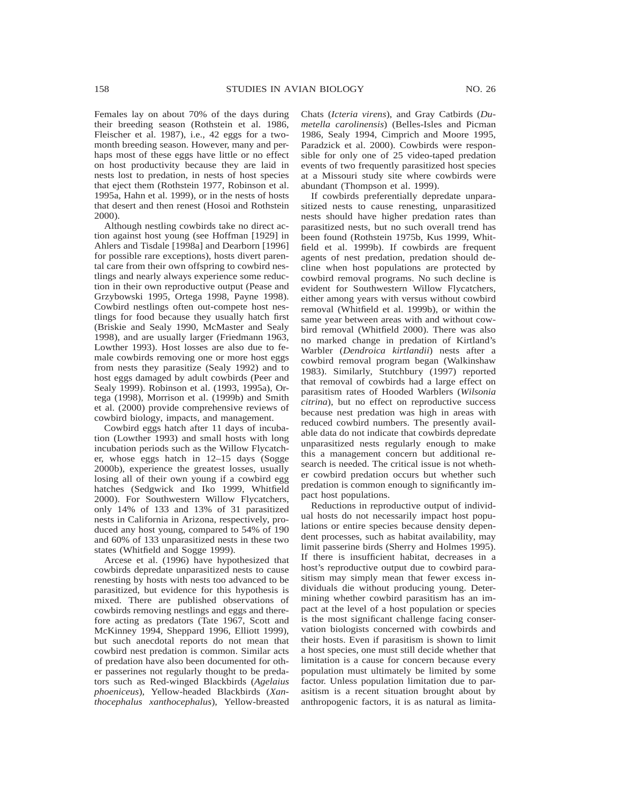Females lay on about 70% of the days during their breeding season (Rothstein et al. 1986, Fleischer et al. 1987), i.e., 42 eggs for a twomonth breeding season. However, many and perhaps most of these eggs have little or no effect on host productivity because they are laid in nests lost to predation, in nests of host species that eject them (Rothstein 1977, Robinson et al. 1995a, Hahn et al. 1999), or in the nests of hosts that desert and then renest (Hosoi and Rothstein 2000).

Although nestling cowbirds take no direct action against host young (see Hoffman [1929] in Ahlers and Tisdale [1998a] and Dearborn [1996] for possible rare exceptions), hosts divert parental care from their own offspring to cowbird nestlings and nearly always experience some reduction in their own reproductive output (Pease and Grzybowski 1995, Ortega 1998, Payne 1998). Cowbird nestlings often out-compete host nestlings for food because they usually hatch first (Briskie and Sealy 1990, McMaster and Sealy 1998), and are usually larger (Friedmann 1963, Lowther 1993). Host losses are also due to female cowbirds removing one or more host eggs from nests they parasitize (Sealy 1992) and to host eggs damaged by adult cowbirds (Peer and Sealy 1999). Robinson et al. (1993, 1995a), Ortega (1998), Morrison et al. (1999b) and Smith et al. (2000) provide comprehensive reviews of cowbird biology, impacts, and management.

Cowbird eggs hatch after 11 days of incubation (Lowther 1993) and small hosts with long incubation periods such as the Willow Flycatcher, whose eggs hatch in 12–15 days (Sogge 2000b), experience the greatest losses, usually losing all of their own young if a cowbird egg hatches (Sedgwick and Iko 1999, Whitfield 2000). For Southwestern Willow Flycatchers, only 14% of 133 and 13% of 31 parasitized nests in California in Arizona, respectively, produced any host young, compared to 54% of 190 and 60% of 133 unparasitized nests in these two states (Whitfield and Sogge 1999).

Arcese et al. (1996) have hypothesized that cowbirds depredate unparasitized nests to cause renesting by hosts with nests too advanced to be parasitized, but evidence for this hypothesis is mixed. There are published observations of cowbirds removing nestlings and eggs and therefore acting as predators (Tate 1967, Scott and McKinney 1994, Sheppard 1996, Elliott 1999), but such anecdotal reports do not mean that cowbird nest predation is common. Similar acts of predation have also been documented for other passerines not regularly thought to be predators such as Red-winged Blackbirds (*Agelaius phoeniceus*), Yellow-headed Blackbirds (*Xanthocephalus xanthocephalus*), Yellow-breasted

Chats (*Icteria virens*), and Gray Catbirds (*Dumetella carolinensis*) (Belles-Isles and Picman 1986, Sealy 1994, Cimprich and Moore 1995, Paradzick et al. 2000). Cowbirds were responsible for only one of 25 video-taped predation events of two frequently parasitized host species at a Missouri study site where cowbirds were abundant (Thompson et al. 1999).

If cowbirds preferentially depredate unparasitized nests to cause renesting, unparasitized nests should have higher predation rates than parasitized nests, but no such overall trend has been found (Rothstein 1975b, Kus 1999, Whitfield et al. 1999b). If cowbirds are frequent agents of nest predation, predation should decline when host populations are protected by cowbird removal programs. No such decline is evident for Southwestern Willow Flycatchers, either among years with versus without cowbird removal (Whitfield et al. 1999b), or within the same year between areas with and without cowbird removal (Whitfield 2000). There was also no marked change in predation of Kirtland's Warbler (*Dendroica kirtlandii*) nests after a cowbird removal program began (Walkinshaw 1983). Similarly, Stutchbury (1997) reported that removal of cowbirds had a large effect on parasitism rates of Hooded Warblers (*Wilsonia citrina*), but no effect on reproductive success because nest predation was high in areas with reduced cowbird numbers. The presently available data do not indicate that cowbirds depredate unparasitized nests regularly enough to make this a management concern but additional research is needed. The critical issue is not whether cowbird predation occurs but whether such predation is common enough to significantly impact host populations.

Reductions in reproductive output of individual hosts do not necessarily impact host populations or entire species because density dependent processes, such as habitat availability, may limit passerine birds (Sherry and Holmes 1995). If there is insufficient habitat, decreases in a host's reproductive output due to cowbird parasitism may simply mean that fewer excess individuals die without producing young. Determining whether cowbird parasitism has an impact at the level of a host population or species is the most significant challenge facing conservation biologists concerned with cowbirds and their hosts. Even if parasitism is shown to limit a host species, one must still decide whether that limitation is a cause for concern because every population must ultimately be limited by some factor. Unless population limitation due to parasitism is a recent situation brought about by anthropogenic factors, it is as natural as limita-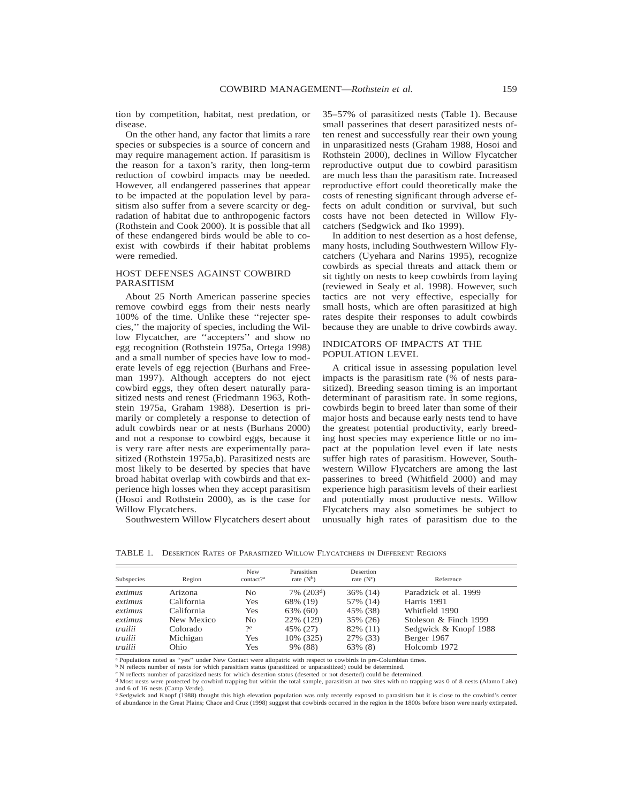tion by competition, habitat, nest predation, or disease.

On the other hand, any factor that limits a rare species or subspecies is a source of concern and may require management action. If parasitism is the reason for a taxon's rarity, then long-term reduction of cowbird impacts may be needed. However, all endangered passerines that appear to be impacted at the population level by parasitism also suffer from a severe scarcity or degradation of habitat due to anthropogenic factors (Rothstein and Cook 2000). It is possible that all of these endangered birds would be able to coexist with cowbirds if their habitat problems were remedied.

# HOST DEFENSES AGAINST COWBIRD PARASITISM

About 25 North American passerine species remove cowbird eggs from their nests nearly 100% of the time. Unlike these ''rejecter species,'' the majority of species, including the Willow Flycatcher, are ''accepters'' and show no egg recognition (Rothstein 1975a, Ortega 1998) and a small number of species have low to moderate levels of egg rejection (Burhans and Freeman 1997). Although accepters do not eject cowbird eggs, they often desert naturally parasitized nests and renest (Friedmann 1963, Rothstein 1975a, Graham 1988). Desertion is primarily or completely a response to detection of adult cowbirds near or at nests (Burhans 2000) and not a response to cowbird eggs, because it is very rare after nests are experimentally parasitized (Rothstein 1975a,b). Parasitized nests are most likely to be deserted by species that have broad habitat overlap with cowbirds and that experience high losses when they accept parasitism (Hosoi and Rothstein 2000), as is the case for Willow Flycatchers.

Southwestern Willow Flycatchers desert about

35–57% of parasitized nests (Table 1). Because small passerines that desert parasitized nests often renest and successfully rear their own young in unparasitized nests (Graham 1988, Hosoi and Rothstein 2000), declines in Willow Flycatcher reproductive output due to cowbird parasitism are much less than the parasitism rate. Increased reproductive effort could theoretically make the costs of renesting significant through adverse effects on adult condition or survival, but such costs have not been detected in Willow Flycatchers (Sedgwick and Iko 1999).

In addition to nest desertion as a host defense, many hosts, including Southwestern Willow Flycatchers (Uyehara and Narins 1995), recognize cowbirds as special threats and attack them or sit tightly on nests to keep cowbirds from laying (reviewed in Sealy et al. 1998). However, such tactics are not very effective, especially for small hosts, which are often parasitized at high rates despite their responses to adult cowbirds because they are unable to drive cowbirds away.

# INDICATORS OF IMPACTS AT THE POPULATION LEVEL

A critical issue in assessing population level impacts is the parasitism rate (% of nests parasitized). Breeding season timing is an important determinant of parasitism rate. In some regions, cowbirds begin to breed later than some of their major hosts and because early nests tend to have the greatest potential productivity, early breeding host species may experience little or no impact at the population level even if late nests suffer high rates of parasitism. However, Southwestern Willow Flycatchers are among the last passerines to breed (Whitfield 2000) and may experience high parasitism levels of their earliest and potentially most productive nests. Willow Flycatchers may also sometimes be subject to unusually high rates of parasitism due to the

TABLE 1. DESERTION RATES OF PARASITIZED WILLOW FLYCATCHERS IN DIFFERENT REGIONS

| Subspecies | Region     | <b>New</b><br>contact? <sup>a</sup> | Parasitism<br>rate $(N^b)$ | Desertion<br>rate $(N^c)$ | Reference             |
|------------|------------|-------------------------------------|----------------------------|---------------------------|-----------------------|
| extimus    | Arizona    | No                                  | $7\%$ (203 <sup>d</sup> )  | $36\%$ (14)               | Paradzick et al. 1999 |
| extimus    | California | Yes                                 | 68% (19)                   | 57% (14)                  | Harris 1991           |
| extimus    | California | Yes                                 | 63% (60)                   | 45% (38)                  | Whitfield 1990        |
| extimus    | New Mexico | No                                  | 22% (129)                  | 35% (26)                  | Stoleson & Finch 1999 |
| trailii    | Colorado   | ?e                                  | 45% (27)                   | 82% (11)                  | Sedgwick & Knopf 1988 |
| trailii    | Michigan   | Yes                                 | 10% (325)                  | 27% (33)                  | Berger 1967           |
| trailii    | Ohio       | Yes                                 | 9% (88)                    | 63% (8)                   | Holcomb 1972          |

<sup>a</sup> Populations noted as "yes" under New Contact were allopatric with respect to cowbirds in pre-Columbian times.

<sup>b</sup> N reflects number of nests for which parasitism status (parasitized or unparasitized) could be determined. <sup>c</sup> N reflects number of parasitized nests for which desertion status (deserted or not deserted) could be determined.

<sup>d</sup> Most nests were protected by cowbird trapping but within the total sample, parasitism at two sites with no trapping was 0 of 8 nests (Alamo Lake) and 6 of 16 nests (Camp Verde).

<sup>e</sup> Sedgwick and Knopf (1988) thought this high elevation population was only recently exposed to parasitism but it is close to the cowbird's center of abundance in the Great Plains; Chace and Cruz (1998) suggest that cowbirds occurred in the region in the 1800s before bison were nearly extirpated.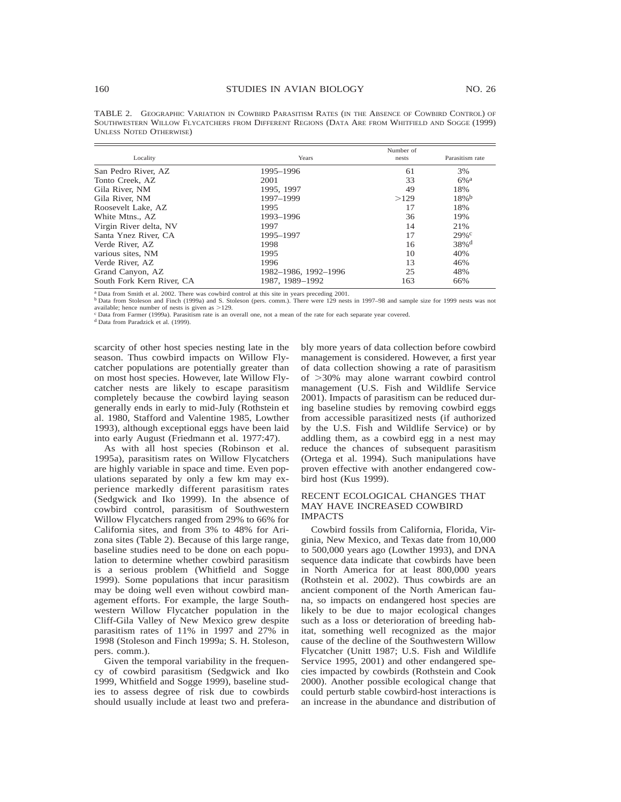TABLE 2. GEOGRAPHIC VARIATION IN COWBIRD PARASITISM RATES (IN THE ABSENCE OF COWBIRD CONTROL) OF SOUTHWESTERN WILLOW FLYCATCHERS FROM DIFFERENT REGIONS (DATA ARE FROM WHITFIELD AND SOGGE (1999) UNLESS NOTED OTHERWISE)

| Locality                  | Years                | Number of<br>nests | Parasitism rate     |  |
|---------------------------|----------------------|--------------------|---------------------|--|
| San Pedro River. AZ       | 1995-1996            | 61                 | 3%                  |  |
| Tonto Creek, AZ           | 2001                 | 33                 | $6\%$ <sup>a</sup>  |  |
| Gila River. NM            | 1995, 1997           | 49                 | 18%                 |  |
| Gila River, NM            | 1997-1999            | >129               | $18\%$ <sup>b</sup> |  |
| Roosevelt Lake, AZ        | 1995                 | 17                 | 18%                 |  |
| White Mtns., AZ           | 1993-1996            | 36                 | 19%                 |  |
| Virgin River delta, NV    | 1997                 | 14                 | 21%                 |  |
| Santa Ynez River, CA      | 1995-1997            | 17                 | 29%c                |  |
| Verde River, AZ           | 1998                 | 16                 | $38\%$ <sup>d</sup> |  |
| various sites, NM         | 1995                 | 10                 | 40%                 |  |
| Verde River, AZ           | 1996                 | 13                 | 46%                 |  |
| Grand Canyon, AZ          | 1982-1986, 1992-1996 | 25                 | 48%                 |  |
| South Fork Kern River, CA | 1987, 1989-1992      | 163                | 66%                 |  |

<sup>a</sup> Data from Smith et al. 2002. There was cowbird control at this site in years preceding 2001.

<sup>b</sup> Data from Stoleson and Finch (1999a) and S. Stoleson (pers. comm.). There were 129 nests in 1997–98 and sample size for 1999 nests was not available; hence number of nests is given as  $>129$ .

<sup>c</sup> Data from Farmer (1999a). Parasitism rate is an overall one, not a mean of the rate for each separate year covered.

<sup>d</sup> Data from Paradzick et al. (1999).

scarcity of other host species nesting late in the season. Thus cowbird impacts on Willow Flycatcher populations are potentially greater than on most host species. However, late Willow Flycatcher nests are likely to escape parasitism completely because the cowbird laying season generally ends in early to mid-July (Rothstein et al. 1980, Stafford and Valentine 1985, Lowther 1993), although exceptional eggs have been laid into early August (Friedmann et al. 1977:47).

As with all host species (Robinson et al. 1995a), parasitism rates on Willow Flycatchers are highly variable in space and time. Even populations separated by only a few km may experience markedly different parasitism rates (Sedgwick and Iko 1999). In the absence of cowbird control, parasitism of Southwestern Willow Flycatchers ranged from 29% to 66% for California sites, and from 3% to 48% for Arizona sites (Table 2). Because of this large range, baseline studies need to be done on each population to determine whether cowbird parasitism is a serious problem (Whitfield and Sogge 1999). Some populations that incur parasitism may be doing well even without cowbird management efforts. For example, the large Southwestern Willow Flycatcher population in the Cliff-Gila Valley of New Mexico grew despite parasitism rates of 11% in 1997 and 27% in 1998 (Stoleson and Finch 1999a; S. H. Stoleson, pers. comm.).

Given the temporal variability in the frequency of cowbird parasitism (Sedgwick and Iko 1999, Whitfield and Sogge 1999), baseline studies to assess degree of risk due to cowbirds should usually include at least two and prefera-

bly more years of data collection before cowbird management is considered. However, a first year of data collection showing a rate of parasitism of  $>30\%$  may alone warrant cowbird control management (U.S. Fish and Wildlife Service 2001). Impacts of parasitism can be reduced during baseline studies by removing cowbird eggs from accessible parasitized nests (if authorized by the U.S. Fish and Wildlife Service) or by addling them, as a cowbird egg in a nest may reduce the chances of subsequent parasitism (Ortega et al. 1994). Such manipulations have proven effective with another endangered cowbird host (Kus 1999).

# RECENT ECOLOGICAL CHANGES THAT MAY HAVE INCREASED COWBIRD IMPACTS

Cowbird fossils from California, Florida, Virginia, New Mexico, and Texas date from 10,000 to 500,000 years ago (Lowther 1993), and DNA sequence data indicate that cowbirds have been in North America for at least 800,000 years (Rothstein et al. 2002). Thus cowbirds are an ancient component of the North American fauna, so impacts on endangered host species are likely to be due to major ecological changes such as a loss or deterioration of breeding habitat, something well recognized as the major cause of the decline of the Southwestern Willow Flycatcher (Unitt 1987; U.S. Fish and Wildlife Service 1995, 2001) and other endangered species impacted by cowbirds (Rothstein and Cook 2000). Another possible ecological change that could perturb stable cowbird-host interactions is an increase in the abundance and distribution of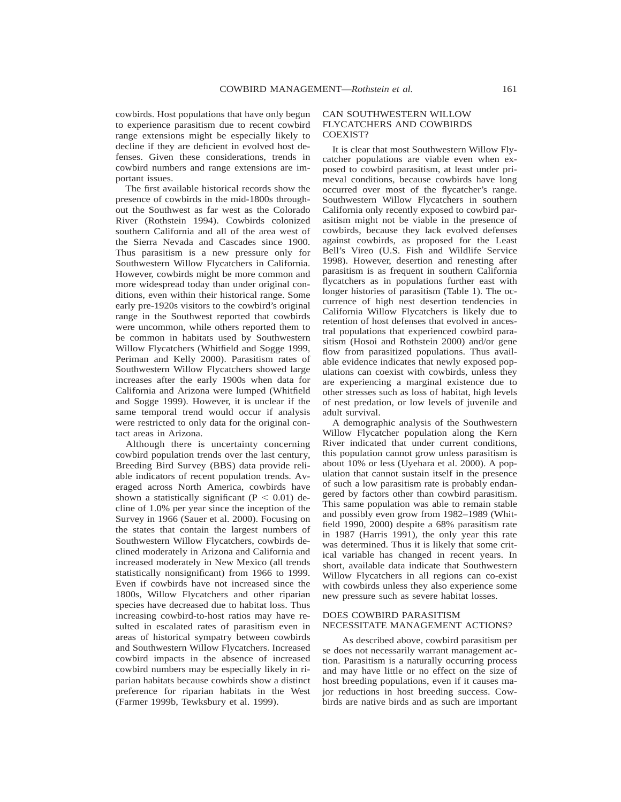cowbirds. Host populations that have only begun to experience parasitism due to recent cowbird range extensions might be especially likely to decline if they are deficient in evolved host defenses. Given these considerations, trends in cowbird numbers and range extensions are important issues.

The first available historical records show the presence of cowbirds in the mid-1800s throughout the Southwest as far west as the Colorado River (Rothstein 1994). Cowbirds colonized southern California and all of the area west of the Sierra Nevada and Cascades since 1900. Thus parasitism is a new pressure only for Southwestern Willow Flycatchers in California. However, cowbirds might be more common and more widespread today than under original conditions, even within their historical range. Some early pre-1920s visitors to the cowbird's original range in the Southwest reported that cowbirds were uncommon, while others reported them to be common in habitats used by Southwestern Willow Flycatchers (Whitfield and Sogge 1999, Periman and Kelly 2000). Parasitism rates of Southwestern Willow Flycatchers showed large increases after the early 1900s when data for California and Arizona were lumped (Whitfield and Sogge 1999). However, it is unclear if the same temporal trend would occur if analysis were restricted to only data for the original contact areas in Arizona.

Although there is uncertainty concerning cowbird population trends over the last century, Breeding Bird Survey (BBS) data provide reliable indicators of recent population trends. Averaged across North America, cowbirds have shown a statistically significant ( $P < 0.01$ ) decline of 1.0% per year since the inception of the Survey in 1966 (Sauer et al. 2000). Focusing on the states that contain the largest numbers of Southwestern Willow Flycatchers, cowbirds declined moderately in Arizona and California and increased moderately in New Mexico (all trends statistically nonsignificant) from 1966 to 1999. Even if cowbirds have not increased since the 1800s, Willow Flycatchers and other riparian species have decreased due to habitat loss. Thus increasing cowbird-to-host ratios may have resulted in escalated rates of parasitism even in areas of historical sympatry between cowbirds and Southwestern Willow Flycatchers. Increased cowbird impacts in the absence of increased cowbird numbers may be especially likely in riparian habitats because cowbirds show a distinct preference for riparian habitats in the West (Farmer 1999b, Tewksbury et al. 1999).

#### CAN SOUTHWESTERN WILLOW FLYCATCHERS AND COWBIRDS COEXIST?

It is clear that most Southwestern Willow Flycatcher populations are viable even when exposed to cowbird parasitism, at least under primeval conditions, because cowbirds have long occurred over most of the flycatcher's range. Southwestern Willow Flycatchers in southern California only recently exposed to cowbird parasitism might not be viable in the presence of cowbirds, because they lack evolved defenses against cowbirds, as proposed for the Least Bell's Vireo (U.S. Fish and Wildlife Service 1998). However, desertion and renesting after parasitism is as frequent in southern California flycatchers as in populations further east with longer histories of parasitism (Table 1). The occurrence of high nest desertion tendencies in California Willow Flycatchers is likely due to retention of host defenses that evolved in ancestral populations that experienced cowbird parasitism (Hosoi and Rothstein 2000) and/or gene flow from parasitized populations. Thus available evidence indicates that newly exposed populations can coexist with cowbirds, unless they are experiencing a marginal existence due to other stresses such as loss of habitat, high levels of nest predation, or low levels of juvenile and adult survival.

A demographic analysis of the Southwestern Willow Flycatcher population along the Kern River indicated that under current conditions, this population cannot grow unless parasitism is about 10% or less (Uyehara et al. 2000). A population that cannot sustain itself in the presence of such a low parasitism rate is probably endangered by factors other than cowbird parasitism. This same population was able to remain stable and possibly even grow from 1982–1989 (Whitfield 1990, 2000) despite a 68% parasitism rate in 1987 (Harris 1991), the only year this rate was determined. Thus it is likely that some critical variable has changed in recent years. In short, available data indicate that Southwestern Willow Flycatchers in all regions can co-exist with cowbirds unless they also experience some new pressure such as severe habitat losses.

#### DOES COWBIRD PARASITISM NECESSITATE MANAGEMENT ACTIONS?

As described above, cowbird parasitism per se does not necessarily warrant management action. Parasitism is a naturally occurring process and may have little or no effect on the size of host breeding populations, even if it causes major reductions in host breeding success. Cowbirds are native birds and as such are important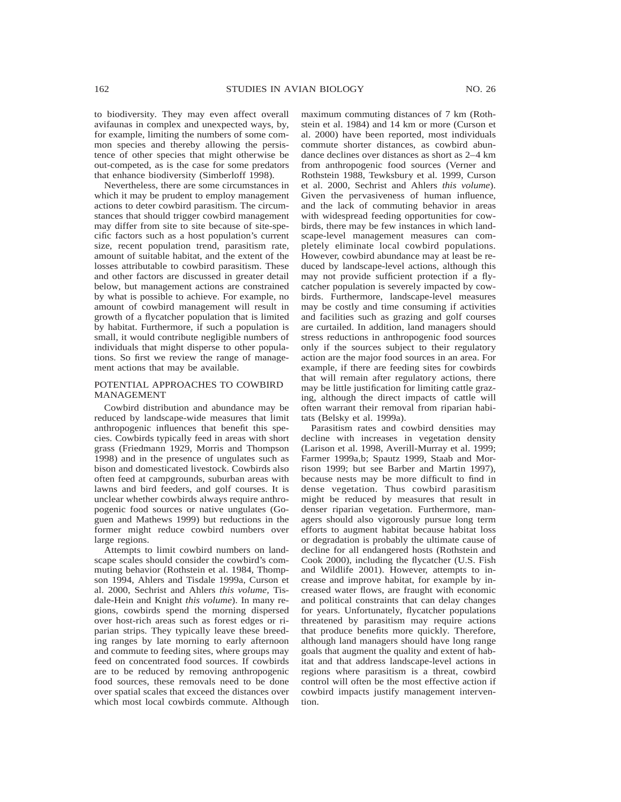to biodiversity. They may even affect overall avifaunas in complex and unexpected ways, by, for example, limiting the numbers of some common species and thereby allowing the persistence of other species that might otherwise be out-competed, as is the case for some predators that enhance biodiversity (Simberloff 1998).

Nevertheless, there are some circumstances in which it may be prudent to employ management actions to deter cowbird parasitism. The circumstances that should trigger cowbird management may differ from site to site because of site-specific factors such as a host population's current size, recent population trend, parasitism rate, amount of suitable habitat, and the extent of the losses attributable to cowbird parasitism. These and other factors are discussed in greater detail below, but management actions are constrained by what is possible to achieve. For example, no amount of cowbird management will result in growth of a flycatcher population that is limited by habitat. Furthermore, if such a population is small, it would contribute negligible numbers of individuals that might disperse to other populations. So first we review the range of management actions that may be available.

## POTENTIAL APPROACHES TO COWBIRD MANAGEMENT

Cowbird distribution and abundance may be reduced by landscape-wide measures that limit anthropogenic influences that benefit this species. Cowbirds typically feed in areas with short grass (Friedmann 1929, Morris and Thompson 1998) and in the presence of ungulates such as bison and domesticated livestock. Cowbirds also often feed at campgrounds, suburban areas with lawns and bird feeders, and golf courses. It is unclear whether cowbirds always require anthropogenic food sources or native ungulates (Goguen and Mathews 1999) but reductions in the former might reduce cowbird numbers over large regions.

Attempts to limit cowbird numbers on landscape scales should consider the cowbird's commuting behavior (Rothstein et al. 1984, Thompson 1994, Ahlers and Tisdale 1999a, Curson et al. 2000, Sechrist and Ahlers *this volume,* Tisdale-Hein and Knight *this volume*). In many regions, cowbirds spend the morning dispersed over host-rich areas such as forest edges or riparian strips. They typically leave these breeding ranges by late morning to early afternoon and commute to feeding sites, where groups may feed on concentrated food sources. If cowbirds are to be reduced by removing anthropogenic food sources, these removals need to be done over spatial scales that exceed the distances over which most local cowbirds commute. Although

maximum commuting distances of 7 km (Rothstein et al. 1984) and 14 km or more (Curson et al. 2000) have been reported, most individuals commute shorter distances, as cowbird abundance declines over distances as short as 2–4 km from anthropogenic food sources (Verner and Rothstein 1988, Tewksbury et al. 1999, Curson et al. 2000, Sechrist and Ahlers *this volume*). Given the pervasiveness of human influence, and the lack of commuting behavior in areas with widespread feeding opportunities for cowbirds, there may be few instances in which landscape-level management measures can completely eliminate local cowbird populations. However, cowbird abundance may at least be reduced by landscape-level actions, although this may not provide sufficient protection if a flycatcher population is severely impacted by cowbirds. Furthermore, landscape-level measures may be costly and time consuming if activities and facilities such as grazing and golf courses are curtailed. In addition, land managers should stress reductions in anthropogenic food sources only if the sources subject to their regulatory action are the major food sources in an area. For example, if there are feeding sites for cowbirds that will remain after regulatory actions, there may be little justification for limiting cattle grazing, although the direct impacts of cattle will often warrant their removal from riparian habitats (Belsky et al. 1999a).

Parasitism rates and cowbird densities may decline with increases in vegetation density (Larison et al. 1998, Averill-Murray et al. 1999; Farmer 1999a,b; Spautz 1999, Staab and Morrison 1999; but see Barber and Martin 1997), because nests may be more difficult to find in dense vegetation. Thus cowbird parasitism might be reduced by measures that result in denser riparian vegetation. Furthermore, managers should also vigorously pursue long term efforts to augment habitat because habitat loss or degradation is probably the ultimate cause of decline for all endangered hosts (Rothstein and Cook 2000), including the flycatcher (U.S. Fish and Wildlife 2001). However, attempts to increase and improve habitat, for example by increased water flows, are fraught with economic and political constraints that can delay changes for years. Unfortunately, flycatcher populations threatened by parasitism may require actions that produce benefits more quickly. Therefore, although land managers should have long range goals that augment the quality and extent of habitat and that address landscape-level actions in regions where parasitism is a threat, cowbird control will often be the most effective action if cowbird impacts justify management intervention.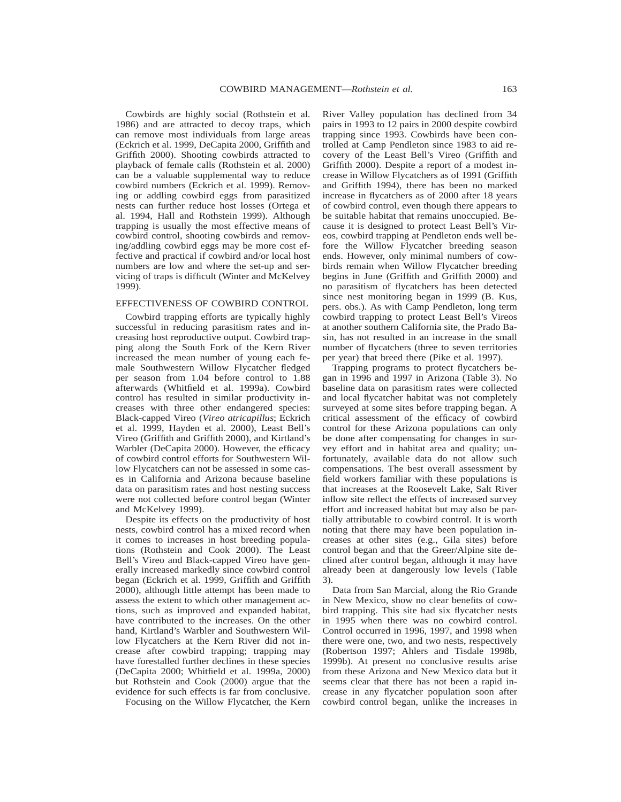Cowbirds are highly social (Rothstein et al. 1986) and are attracted to decoy traps, which can remove most individuals from large areas (Eckrich et al. 1999, DeCapita 2000, Griffith and Griffith 2000). Shooting cowbirds attracted to playback of female calls (Rothstein et al. 2000) can be a valuable supplemental way to reduce cowbird numbers (Eckrich et al. 1999). Removing or addling cowbird eggs from parasitized nests can further reduce host losses (Ortega et al. 1994, Hall and Rothstein 1999). Although trapping is usually the most effective means of cowbird control, shooting cowbirds and removing/addling cowbird eggs may be more cost effective and practical if cowbird and/or local host numbers are low and where the set-up and servicing of traps is difficult (Winter and McKelvey 1999).

#### EFFECTIVENESS OF COWBIRD CONTROL

Cowbird trapping efforts are typically highly successful in reducing parasitism rates and increasing host reproductive output. Cowbird trapping along the South Fork of the Kern River increased the mean number of young each female Southwestern Willow Flycatcher fledged per season from 1.04 before control to 1.88 afterwards (Whitfield et al. 1999a). Cowbird control has resulted in similar productivity increases with three other endangered species: Black-capped Vireo (*Vireo atricapillus*; Eckrich et al. 1999, Hayden et al. 2000), Least Bell's Vireo (Griffith and Griffith 2000), and Kirtland's Warbler (DeCapita 2000). However, the efficacy of cowbird control efforts for Southwestern Willow Flycatchers can not be assessed in some cases in California and Arizona because baseline data on parasitism rates and host nesting success were not collected before control began (Winter and McKelvey 1999).

Despite its effects on the productivity of host nests, cowbird control has a mixed record when it comes to increases in host breeding populations (Rothstein and Cook 2000). The Least Bell's Vireo and Black-capped Vireo have generally increased markedly since cowbird control began (Eckrich et al. 1999, Griffith and Griffith 2000), although little attempt has been made to assess the extent to which other management actions, such as improved and expanded habitat, have contributed to the increases. On the other hand, Kirtland's Warbler and Southwestern Willow Flycatchers at the Kern River did not increase after cowbird trapping; trapping may have forestalled further declines in these species (DeCapita 2000; Whitfield et al. 1999a, 2000) but Rothstein and Cook (2000) argue that the evidence for such effects is far from conclusive.

Focusing on the Willow Flycatcher, the Kern

River Valley population has declined from 34 pairs in 1993 to 12 pairs in 2000 despite cowbird trapping since 1993. Cowbirds have been controlled at Camp Pendleton since 1983 to aid recovery of the Least Bell's Vireo (Griffith and Griffith 2000). Despite a report of a modest increase in Willow Flycatchers as of 1991 (Griffith and Griffith 1994), there has been no marked increase in flycatchers as of 2000 after 18 years of cowbird control, even though there appears to be suitable habitat that remains unoccupied. Because it is designed to protect Least Bell's Vireos, cowbird trapping at Pendleton ends well before the Willow Flycatcher breeding season ends. However, only minimal numbers of cowbirds remain when Willow Flycatcher breeding begins in June (Griffith and Griffith 2000) and no parasitism of flycatchers has been detected since nest monitoring began in 1999 (B. Kus, pers. obs.). As with Camp Pendleton, long term cowbird trapping to protect Least Bell's Vireos at another southern California site, the Prado Basin, has not resulted in an increase in the small number of flycatchers (three to seven territories per year) that breed there (Pike et al. 1997).

Trapping programs to protect flycatchers began in 1996 and 1997 in Arizona (Table 3). No baseline data on parasitism rates were collected and local flycatcher habitat was not completely surveyed at some sites before trapping began. A critical assessment of the efficacy of cowbird control for these Arizona populations can only be done after compensating for changes in survey effort and in habitat area and quality; unfortunately, available data do not allow such compensations. The best overall assessment by field workers familiar with these populations is that increases at the Roosevelt Lake, Salt River inflow site reflect the effects of increased survey effort and increased habitat but may also be partially attributable to cowbird control. It is worth noting that there may have been population increases at other sites (e.g., Gila sites) before control began and that the Greer/Alpine site declined after control began, although it may have already been at dangerously low levels (Table 3).

Data from San Marcial, along the Rio Grande in New Mexico, show no clear benefits of cowbird trapping. This site had six flycatcher nests in 1995 when there was no cowbird control. Control occurred in 1996, 1997, and 1998 when there were one, two, and two nests, respectively (Robertson 1997; Ahlers and Tisdale 1998b, 1999b). At present no conclusive results arise from these Arizona and New Mexico data but it seems clear that there has not been a rapid increase in any flycatcher population soon after cowbird control began, unlike the increases in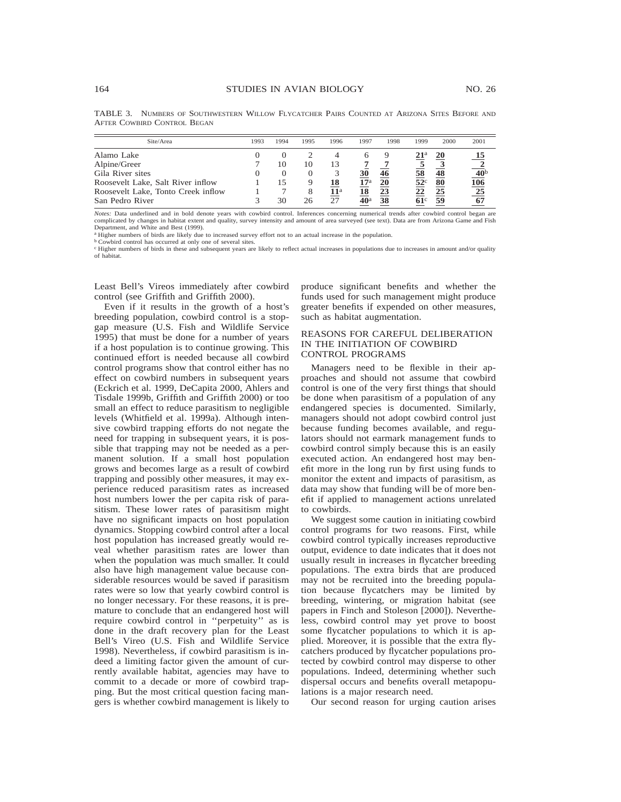| Site/Area                          | 1993 | 1994 | 1995 | 1996         | 1997            | 1998 | 1999            | 2000 | 2001                                 |
|------------------------------------|------|------|------|--------------|-----------------|------|-----------------|------|--------------------------------------|
| Alamo Lake                         |      |      |      |              |                 |      |                 | 20   | 15                                   |
| Alpine/Greer                       |      | 10   | 10   | 13           |                 |      |                 |      |                                      |
| Gila River sites                   |      |      |      |              | 30              | 46   | 58              | 48   |                                      |
| Roosevelt Lake, Salt River inflow  |      |      |      | 18           | $17^{\rm a}$    | 20   | 52 <sup>c</sup> | 80   |                                      |
| Roosevelt Lake, Tonto Creek inflow |      |      |      | $11^{\rm a}$ | 18              | 23   | 22              | 25   |                                      |
| San Pedro River                    |      | 30   | 26   | 27           | 40 <sup>a</sup> | 38   | $61^{\circ}$    | 59   | 67                                   |
|                                    |      |      |      |              |                 |      |                 |      | $\frac{40}{106}$<br>$\frac{106}{25}$ |

TABLE 3. NUMBERS OF SOUTHWESTERN WILLOW FLYCATCHER PAIRS COUNTED AT ARIZONA SITES BEFORE AND AFTER COWBIRD CONTROL BEGAN

*Notes:* Data underlined and in bold denote years with cowbird control. Inferences concerning numerical trends after cowbird control began are complicated by changes in habitat extent and quality, survey intensity and amount of area surveyed (see text). Data are from Arizona Game and Fish Department, and White and Best (1999).

<sup>a</sup> Higher numbers of birds are likely due to increased survey effort not to an actual increase in the population.

<sup>b</sup> Cowbird control has occurred at only one of several sites.

<sup>c</sup> Higher numbers of birds in these and subsequent years are likely to reflect actual increases in populations due to increases in amount and/or quality of habitat.

Least Bell's Vireos immediately after cowbird control (see Griffith and Griffith 2000).

Even if it results in the growth of a host's breeding population, cowbird control is a stopgap measure (U.S. Fish and Wildlife Service 1995) that must be done for a number of years if a host population is to continue growing. This continued effort is needed because all cowbird control programs show that control either has no effect on cowbird numbers in subsequent years (Eckrich et al. 1999, DeCapita 2000, Ahlers and Tisdale 1999b, Griffith and Griffith 2000) or too small an effect to reduce parasitism to negligible levels (Whitfield et al. 1999a). Although intensive cowbird trapping efforts do not negate the need for trapping in subsequent years, it is possible that trapping may not be needed as a permanent solution. If a small host population grows and becomes large as a result of cowbird trapping and possibly other measures, it may experience reduced parasitism rates as increased host numbers lower the per capita risk of parasitism. These lower rates of parasitism might have no significant impacts on host population dynamics. Stopping cowbird control after a local host population has increased greatly would reveal whether parasitism rates are lower than when the population was much smaller. It could also have high management value because considerable resources would be saved if parasitism rates were so low that yearly cowbird control is no longer necessary. For these reasons, it is premature to conclude that an endangered host will require cowbird control in ''perpetuity'' as is done in the draft recovery plan for the Least Bell's Vireo (U.S. Fish and Wildlife Service 1998). Nevertheless, if cowbird parasitism is indeed a limiting factor given the amount of currently available habitat, agencies may have to commit to a decade or more of cowbird trapping. But the most critical question facing mangers is whether cowbird management is likely to

produce significant benefits and whether the funds used for such management might produce greater benefits if expended on other measures, such as habitat augmentation.

## REASONS FOR CAREFUL DELIBERATION IN THE INITIATION OF COWBIRD CONTROL PROGRAMS

Managers need to be flexible in their approaches and should not assume that cowbird control is one of the very first things that should be done when parasitism of a population of any endangered species is documented. Similarly, managers should not adopt cowbird control just because funding becomes available, and regulators should not earmark management funds to cowbird control simply because this is an easily executed action. An endangered host may benefit more in the long run by first using funds to monitor the extent and impacts of parasitism, as data may show that funding will be of more benefit if applied to management actions unrelated to cowbirds.

We suggest some caution in initiating cowbird control programs for two reasons. First, while cowbird control typically increases reproductive output, evidence to date indicates that it does not usually result in increases in flycatcher breeding populations. The extra birds that are produced may not be recruited into the breeding population because flycatchers may be limited by breeding, wintering, or migration habitat (see papers in Finch and Stoleson [2000]). Nevertheless, cowbird control may yet prove to boost some flycatcher populations to which it is applied. Moreover, it is possible that the extra flycatchers produced by flycatcher populations protected by cowbird control may disperse to other populations. Indeed, determining whether such dispersal occurs and benefits overall metapopulations is a major research need.

Our second reason for urging caution arises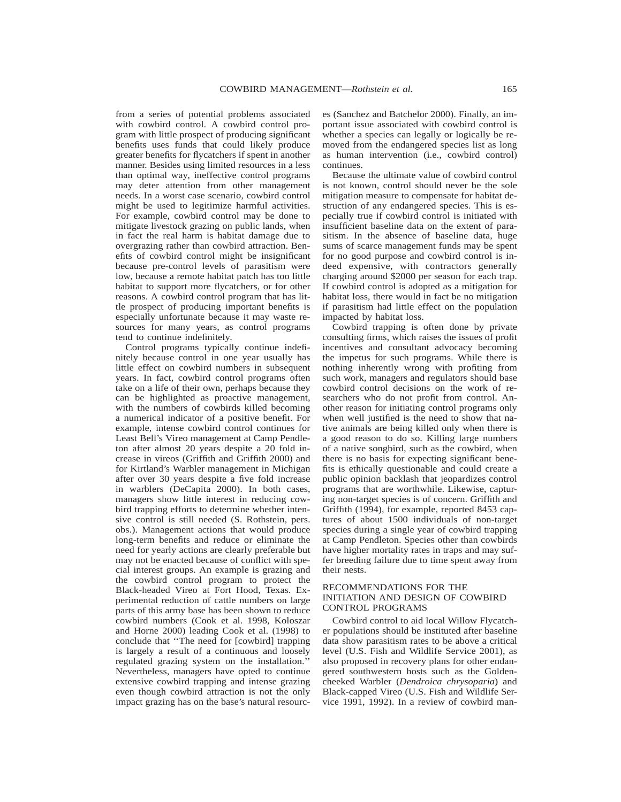from a series of potential problems associated with cowbird control. A cowbird control program with little prospect of producing significant benefits uses funds that could likely produce greater benefits for flycatchers if spent in another manner. Besides using limited resources in a less than optimal way, ineffective control programs may deter attention from other management needs. In a worst case scenario, cowbird control might be used to legitimize harmful activities. For example, cowbird control may be done to mitigate livestock grazing on public lands, when in fact the real harm is habitat damage due to overgrazing rather than cowbird attraction. Benefits of cowbird control might be insignificant because pre-control levels of parasitism were low, because a remote habitat patch has too little habitat to support more flycatchers, or for other reasons. A cowbird control program that has little prospect of producing important benefits is especially unfortunate because it may waste resources for many years, as control programs tend to continue indefinitely.

Control programs typically continue indefinitely because control in one year usually has little effect on cowbird numbers in subsequent years. In fact, cowbird control programs often take on a life of their own, perhaps because they can be highlighted as proactive management, with the numbers of cowbirds killed becoming a numerical indicator of a positive benefit. For example, intense cowbird control continues for Least Bell's Vireo management at Camp Pendleton after almost 20 years despite a 20 fold increase in vireos (Griffith and Griffith 2000) and for Kirtland's Warbler management in Michigan after over 30 years despite a five fold increase in warblers (DeCapita 2000). In both cases, managers show little interest in reducing cowbird trapping efforts to determine whether intensive control is still needed (S. Rothstein, pers. obs.). Management actions that would produce long-term benefits and reduce or eliminate the need for yearly actions are clearly preferable but may not be enacted because of conflict with special interest groups. An example is grazing and the cowbird control program to protect the Black-headed Vireo at Fort Hood, Texas. Experimental reduction of cattle numbers on large parts of this army base has been shown to reduce cowbird numbers (Cook et al. 1998, Koloszar and Horne 2000) leading Cook et al. (1998) to conclude that ''The need for [cowbird] trapping is largely a result of a continuous and loosely regulated grazing system on the installation.'' Nevertheless, managers have opted to continue extensive cowbird trapping and intense grazing even though cowbird attraction is not the only impact grazing has on the base's natural resourc-

es (Sanchez and Batchelor 2000). Finally, an important issue associated with cowbird control is whether a species can legally or logically be removed from the endangered species list as long as human intervention (i.e., cowbird control) continues.

Because the ultimate value of cowbird control is not known, control should never be the sole mitigation measure to compensate for habitat destruction of any endangered species. This is especially true if cowbird control is initiated with insufficient baseline data on the extent of parasitism. In the absence of baseline data, huge sums of scarce management funds may be spent for no good purpose and cowbird control is indeed expensive, with contractors generally charging around \$2000 per season for each trap. If cowbird control is adopted as a mitigation for habitat loss, there would in fact be no mitigation if parasitism had little effect on the population impacted by habitat loss.

Cowbird trapping is often done by private consulting firms, which raises the issues of profit incentives and consultant advocacy becoming the impetus for such programs. While there is nothing inherently wrong with profiting from such work, managers and regulators should base cowbird control decisions on the work of researchers who do not profit from control. Another reason for initiating control programs only when well justified is the need to show that native animals are being killed only when there is a good reason to do so. Killing large numbers of a native songbird, such as the cowbird, when there is no basis for expecting significant benefits is ethically questionable and could create a public opinion backlash that jeopardizes control programs that are worthwhile. Likewise, capturing non-target species is of concern. Griffith and Griffith (1994), for example, reported 8453 captures of about 1500 individuals of non-target species during a single year of cowbird trapping at Camp Pendleton. Species other than cowbirds have higher mortality rates in traps and may suffer breeding failure due to time spent away from their nests.

### RECOMMENDATIONS FOR THE INITIATION AND DESIGN OF COWBIRD CONTROL PROGRAMS

Cowbird control to aid local Willow Flycatcher populations should be instituted after baseline data show parasitism rates to be above a critical level (U.S. Fish and Wildlife Service 2001), as also proposed in recovery plans for other endangered southwestern hosts such as the Goldencheeked Warbler (*Dendroica chrysoparia*) and Black-capped Vireo (U.S. Fish and Wildlife Service 1991, 1992). In a review of cowbird man-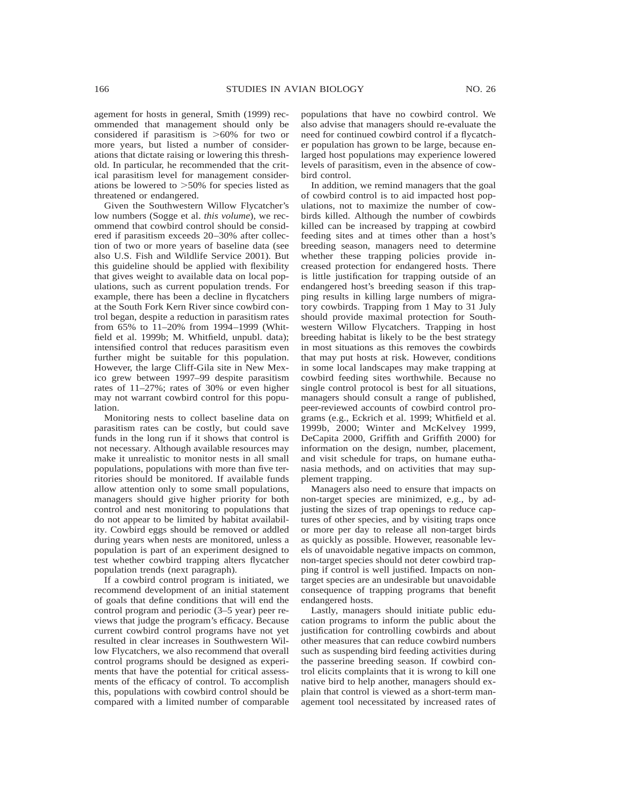agement for hosts in general, Smith (1999) recommended that management should only be considered if parasitism is  $>60\%$  for two or more years, but listed a number of considerations that dictate raising or lowering this threshold. In particular, he recommended that the critical parasitism level for management considerations be lowered to  $>50\%$  for species listed as threatened or endangered.

Given the Southwestern Willow Flycatcher's low numbers (Sogge et al. *this volume*), we recommend that cowbird control should be considered if parasitism exceeds 20–30% after collection of two or more years of baseline data (see also U.S. Fish and Wildlife Service 2001). But this guideline should be applied with flexibility that gives weight to available data on local populations, such as current population trends. For example, there has been a decline in flycatchers at the South Fork Kern River since cowbird control began, despite a reduction in parasitism rates from 65% to 11–20% from 1994–1999 (Whitfield et al. 1999b; M. Whitfield, unpubl. data); intensified control that reduces parasitism even further might be suitable for this population. However, the large Cliff-Gila site in New Mexico grew between 1997–99 despite parasitism rates of 11–27%; rates of 30% or even higher may not warrant cowbird control for this population.

Monitoring nests to collect baseline data on parasitism rates can be costly, but could save funds in the long run if it shows that control is not necessary. Although available resources may make it unrealistic to monitor nests in all small populations, populations with more than five territories should be monitored. If available funds allow attention only to some small populations, managers should give higher priority for both control and nest monitoring to populations that do not appear to be limited by habitat availability. Cowbird eggs should be removed or addled during years when nests are monitored, unless a population is part of an experiment designed to test whether cowbird trapping alters flycatcher population trends (next paragraph).

If a cowbird control program is initiated, we recommend development of an initial statement of goals that define conditions that will end the control program and periodic (3–5 year) peer reviews that judge the program's efficacy. Because current cowbird control programs have not yet resulted in clear increases in Southwestern Willow Flycatchers, we also recommend that overall control programs should be designed as experiments that have the potential for critical assessments of the efficacy of control. To accomplish this, populations with cowbird control should be compared with a limited number of comparable populations that have no cowbird control. We also advise that managers should re-evaluate the need for continued cowbird control if a flycatcher population has grown to be large, because enlarged host populations may experience lowered levels of parasitism, even in the absence of cowbird control.

In addition, we remind managers that the goal of cowbird control is to aid impacted host populations, not to maximize the number of cowbirds killed. Although the number of cowbirds killed can be increased by trapping at cowbird feeding sites and at times other than a host's breeding season, managers need to determine whether these trapping policies provide increased protection for endangered hosts. There is little justification for trapping outside of an endangered host's breeding season if this trapping results in killing large numbers of migratory cowbirds. Trapping from 1 May to 31 July should provide maximal protection for Southwestern Willow Flycatchers. Trapping in host breeding habitat is likely to be the best strategy in most situations as this removes the cowbirds that may put hosts at risk. However, conditions in some local landscapes may make trapping at cowbird feeding sites worthwhile. Because no single control protocol is best for all situations, managers should consult a range of published, peer-reviewed accounts of cowbird control programs (e.g., Eckrich et al. 1999; Whitfield et al. 1999b, 2000; Winter and McKelvey 1999, DeCapita 2000, Griffith and Griffith 2000) for information on the design, number, placement, and visit schedule for traps, on humane euthanasia methods, and on activities that may supplement trapping.

Managers also need to ensure that impacts on non-target species are minimized, e.g., by adjusting the sizes of trap openings to reduce captures of other species, and by visiting traps once or more per day to release all non-target birds as quickly as possible. However, reasonable levels of unavoidable negative impacts on common, non-target species should not deter cowbird trapping if control is well justified. Impacts on nontarget species are an undesirable but unavoidable consequence of trapping programs that benefit endangered hosts.

Lastly, managers should initiate public education programs to inform the public about the justification for controlling cowbirds and about other measures that can reduce cowbird numbers such as suspending bird feeding activities during the passerine breeding season. If cowbird control elicits complaints that it is wrong to kill one native bird to help another, managers should explain that control is viewed as a short-term management tool necessitated by increased rates of